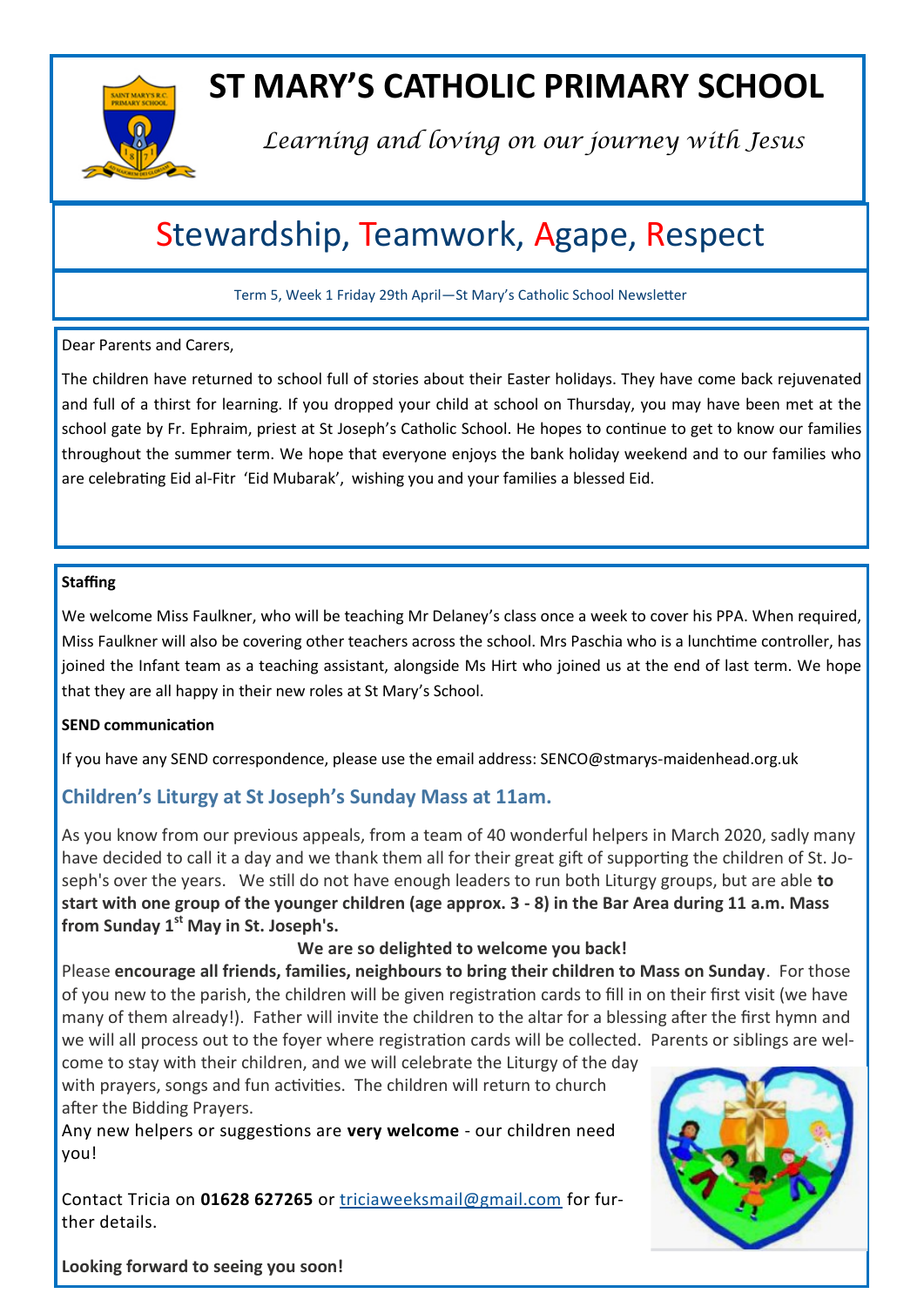

# **ST MARY'S CATHOLIC PRIMARY SCHOOL**

*Learning and loving on our journey with Jesus*

# Stewardship, Teamwork, Agape, Respect

Term 5, Week 1 Friday 29th April—St Mary's Catholic School Newsletter

#### Dear Parents and Carers,

The children have returned to school full of stories about their Easter holidays. They have come back rejuvenated and full of a thirst for learning. If you dropped your child at school on Thursday, you may have been met at the school gate by Fr. Ephraim, priest at St Joseph's Catholic School. He hopes to continue to get to know our families throughout the summer term. We hope that everyone enjoys the bank holiday weekend and to our families who are celebrating Eid al-Fitr 'Eid Mubarak', wishing you and your families a blessed Eid.

#### **Staffing**

We welcome Miss Faulkner, who will be teaching Mr Delaney's class once a week to cover his PPA. When required, Miss Faulkner will also be covering other teachers across the school. Mrs Paschia who is a lunchtime controller, has joined the Infant team as a teaching assistant, alongside Ms Hirt who joined us at the end of last term. We hope that they are all happy in their new roles at St Mary's School.

### **SEND communication**

If you have any SEND correspondence, please use the email address: SENCO@stmarys-maidenhead.org.uk

## **Children's Liturgy at St Joseph's Sunday Mass at 11am.**

As you know from our previous appeals, from a team of 40 wonderful helpers in March 2020, sadly many have decided to call it a day and we thank them all for their great gift of supporting the children of St. Joseph's over the years. We still do not have enough leaders to run both Liturgy groups, but are able **to start with one group of the younger children (age approx. 3 - 8) in the Bar Area during 11 a.m. Mass from Sunday 1st May in St. Joseph's.**

### **We are so delighted to welcome you back!**

Please **encourage all friends, families, neighbours to bring their children to Mass on Sunday**. For those of you new to the parish, the children will be given registration cards to fill in on their first visit (we have many of them already!). Father will invite the children to the altar for a blessing after the first hymn and we will all process out to the foyer where registration cards will be collected. Parents or siblings are wel-

come to stay with their children, and we will celebrate the Liturgy of the day with prayers, songs and fun activities. The children will return to church after the Bidding Prayers.

Any new helpers or suggestions are **very welcome** - our children need you!

Contact Tricia on **01628 627265** or [triciaweeksmail@gmail.com](mailto:triciaweeksmail@gmail.com) for further details.



**Looking forward to seeing you soon!**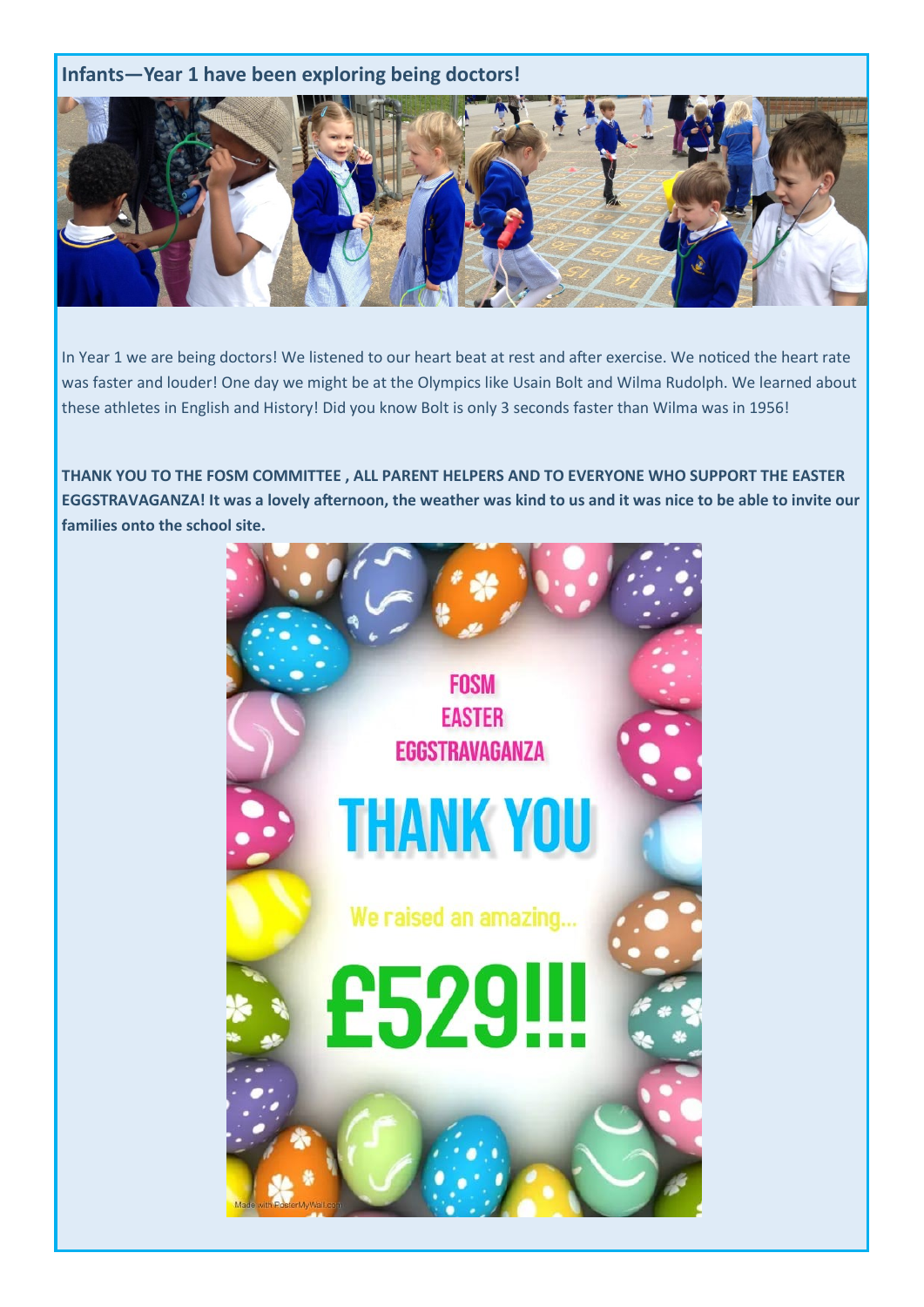## **Infants—Year 1 have been exploring being doctors!**



In Year 1 we are being doctors! We listened to our heart beat at rest and after exercise. We noticed the heart rate was faster and louder! One day we might be at the Olympics like Usain Bolt and Wilma Rudolph. We learned about these athletes in English and History! Did you know Bolt is only 3 seconds faster than Wilma was in 1956!

**THANK YOU TO THE FOSM COMMITTEE , ALL PARENT HELPERS AND TO EVERYONE WHO SUPPORT THE EASTER EGGSTRAVAGANZA! It was a lovely afternoon, the weather was kind to us and it was nice to be able to invite our families onto the school site.**

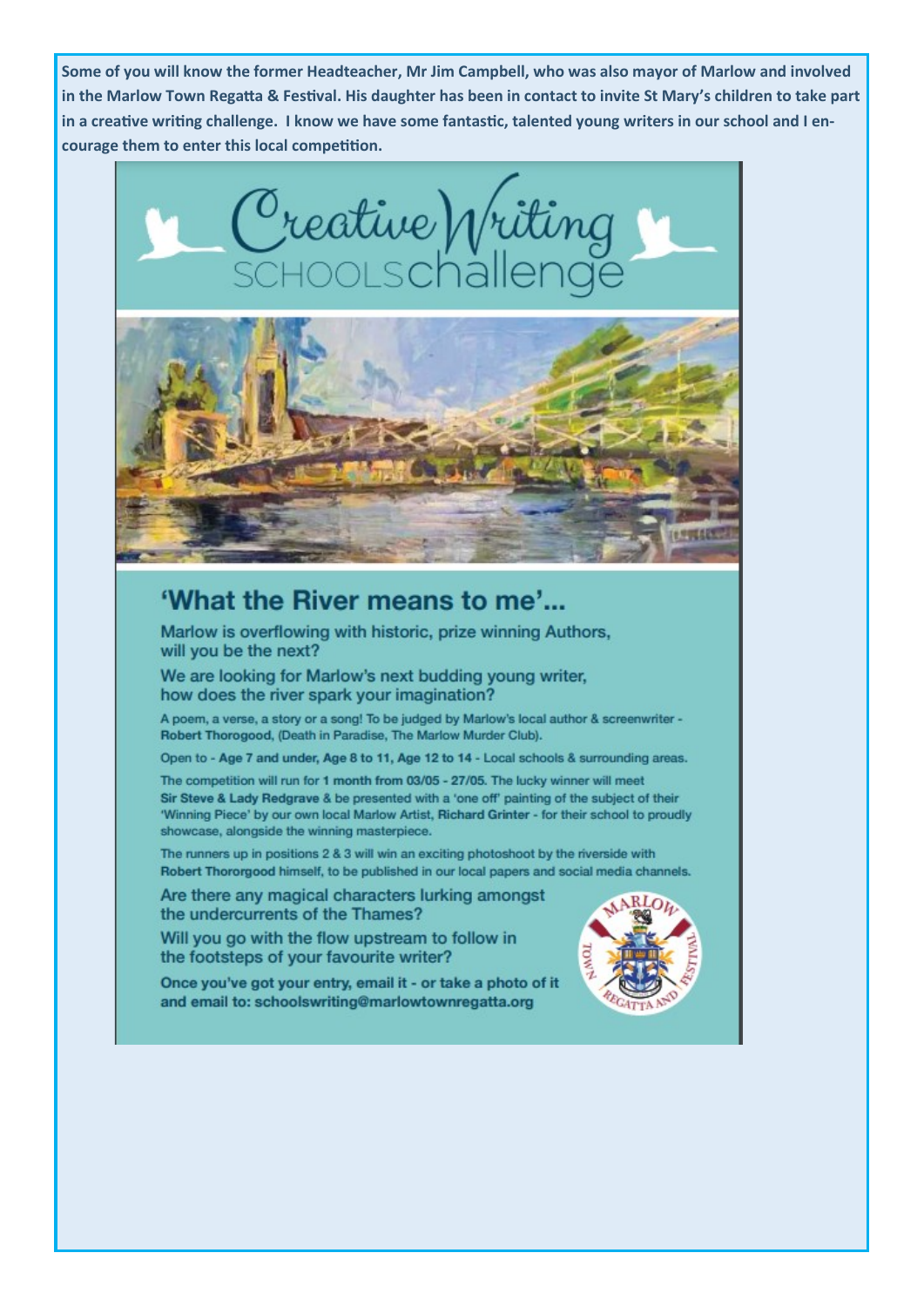Some of you will know the former Headteacher, Mr Jim Campbell, who was also mayor of Marlow and involved in the Marlow Town Regatta & Festival. His daughter has been in contact to invite St Mary's children to take part in a creative writing challenge. I know we have some fantastic, talented young writers in our school and I encourage them to enter this local competition.



## 'What the River means to me'...

Marlow is overflowing with historic, prize winning Authors, will you be the next?

We are looking for Marlow's next budding young writer, how does the river spark your imagination?

A poem, a verse, a story or a song! To be judged by Marlow's local author & screenwriter -Robert Thorogood, (Death in Paradise, The Marlow Murder Club).

Open to - Age 7 and under, Age 8 to 11, Age 12 to 14 - Local schools & surrounding areas.

The competition will run for 1 month from 03/05 - 27/05. The lucky winner will meet Sir Steve & Lady Redgrave & be presented with a 'one off' painting of the subject of their 'Winning Piece' by our own local Marlow Artist, Richard Grinter - for their school to proudly showcase, alongside the winning masterpiece.

The runners up in positions 2 & 3 will win an exciting photoshoot by the riverside with Robert Thororgood himself, to be published in our local papers and social media channels.

Are there any magical characters lurking amongst the undercurrents of the Thames?

Will you go with the flow upstream to follow in the footsteps of your favourite writer?

Once you've got your entry, email it - or take a photo of it and email to: schoolswriting@marlowtownregatta.org